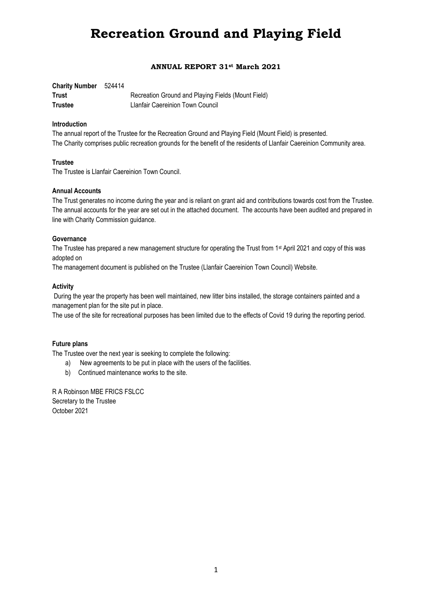### **ANNUAL REPORT 31st March 2021**

| <b>Charity Number</b> 524414 |                                                    |
|------------------------------|----------------------------------------------------|
| <b>Trust</b>                 | Recreation Ground and Playing Fields (Mount Field) |
| <b>Trustee</b>               | Llanfair Caereinion Town Council                   |

#### **Introduction**

The annual report of the Trustee for the Recreation Ground and Playing Field (Mount Field) is presented. The Charity comprises public recreation grounds for the benefit of the residents of Llanfair Caereinion Community area.

#### **Trustee**

The Trustee is Llanfair Caereinion Town Council.

#### **Annual Accounts**

The Trust generates no income during the year and is reliant on grant aid and contributions towards cost from the Trustee. The annual accounts for the year are set out in the attached document. The accounts have been audited and prepared in line with Charity Commission guidance.

#### **Governance**

The Trustee has prepared a new management structure for operating the Trust from 1st April 2021 and copy of this was adopted on

The management document is published on the Trustee (Llanfair Caereinion Town Council) Website.

#### **Activity**

During the year the property has been well maintained, new litter bins installed, the storage containers painted and a management plan for the site put in place.

The use of the site for recreational purposes has been limited due to the effects of Covid 19 during the reporting period.

#### **Future plans**

The Trustee over the next year is seeking to complete the following:

- a) New agreements to be put in place with the users of the facilities.
- b) Continued maintenance works to the site.

R A Robinson MBE FRICS FSLCC Secretary to the Trustee October 2021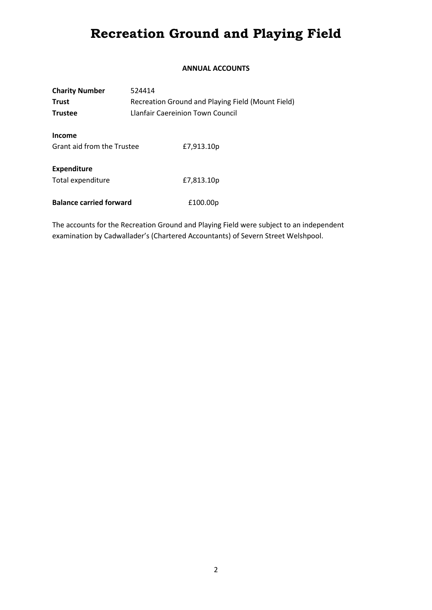## **ANNUAL ACCOUNTS**

| <b>Charity Number</b>                | 524414                                            |            |  |
|--------------------------------------|---------------------------------------------------|------------|--|
| <b>Trust</b>                         | Recreation Ground and Playing Field (Mount Field) |            |  |
| <b>Trustee</b>                       | Llanfair Caereinion Town Council                  |            |  |
| Income<br>Grant aid from the Trustee |                                                   | £7,913.10p |  |
| <b>Expenditure</b>                   |                                                   |            |  |
| Total expenditure                    |                                                   | £7,813.10p |  |
| <b>Balance carried forward</b>       |                                                   | £100.00p   |  |

The accounts for the Recreation Ground and Playing Field were subject to an independent examination by Cadwallader's (Chartered Accountants) of Severn Street Welshpool.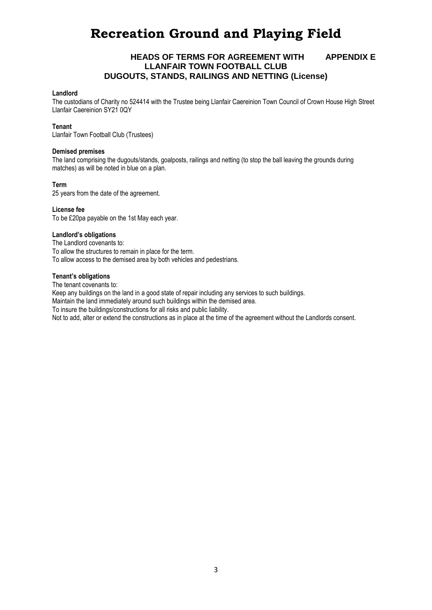## **HEADS OF TERMS FOR AGREEMENT WITH APPENDIX E LLANFAIR TOWN FOOTBALL CLUB DUGOUTS, STANDS, RAILINGS AND NETTING (License)**

#### **Landlord**

The custodians of Charity no 524414 with the Trustee being Llanfair Caereinion Town Council of Crown House High Street Llanfair Caereinion SY21 0QY

#### **Tenant**

Llanfair Town Football Club (Trustees)

#### **Demised premises**

The land comprising the dugouts/stands, goalposts, railings and netting (to stop the ball leaving the grounds during matches) as will be noted in blue on a plan.

#### **Term**

25 years from the date of the agreement.

**License fee**  To be £20pa payable on the 1st May each year.

#### **Landlord's obligations**

The Landlord covenants to: To allow the structures to remain in place for the term. To allow access to the demised area by both vehicles and pedestrians.

#### **Tenant's obligations**

The tenant covenants to:

Keep any buildings on the land in a good state of repair including any services to such buildings.

Maintain the land immediately around such buildings within the demised area.

To insure the buildings/constructions for all risks and public liability.

Not to add, alter or extend the constructions as in place at the time of the agreement without the Landlords consent.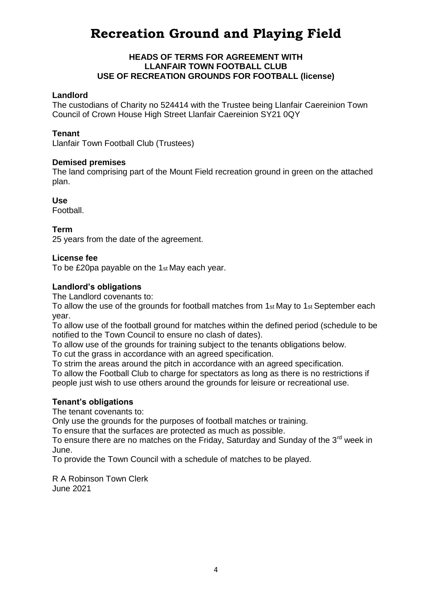# **HEADS OF TERMS FOR AGREEMENT WITH LLANFAIR TOWN FOOTBALL CLUB USE OF RECREATION GROUNDS FOR FOOTBALL (license)**

# **Landlord**

The custodians of Charity no 524414 with the Trustee being Llanfair Caereinion Town Council of Crown House High Street Llanfair Caereinion SY21 0QY

# **Tenant**

Llanfair Town Football Club (Trustees)

# **Demised premises**

The land comprising part of the Mount Field recreation ground in green on the attached plan.

## **Use**

Football.

# **Term**

25 years from the date of the agreement.

# **License fee**

To be £20pa payable on the 1st May each year.

# **Landlord's obligations**

The Landlord covenants to:

To allow the use of the grounds for football matches from 1st May to 1st September each year.

To allow use of the football ground for matches within the defined period (schedule to be notified to the Town Council to ensure no clash of dates).

To allow use of the grounds for training subject to the tenants obligations below.

To cut the grass in accordance with an agreed specification.

To strim the areas around the pitch in accordance with an agreed specification.

To allow the Football Club to charge for spectators as long as there is no restrictions if people just wish to use others around the grounds for leisure or recreational use.

## **Tenant's obligations**

The tenant covenants to:

Only use the grounds for the purposes of football matches or training.

To ensure that the surfaces are protected as much as possible.

To ensure there are no matches on the Friday, Saturday and Sunday of the 3<sup>rd</sup> week in June.

To provide the Town Council with a schedule of matches to be played.

R A Robinson Town Clerk June 2021